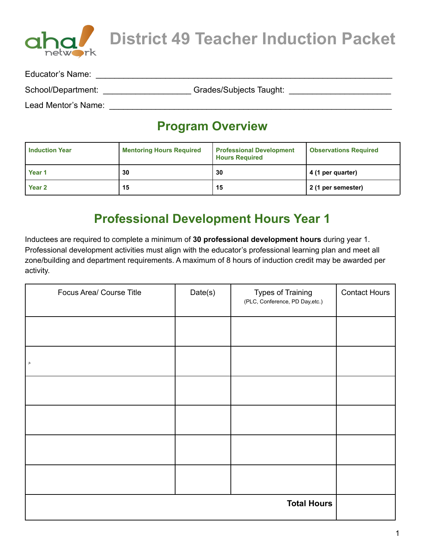

**District 49 Teacher Induction Packet**

| Educator's Name:    |                         |  |
|---------------------|-------------------------|--|
| School/Department:  | Grades/Subjects Taught: |  |
| Lead Mentor's Name: |                         |  |

#### **Program Overview**

| <b>Induction Year</b> | <b>Mentoring Hours Required</b> | <b>Professional Development</b><br><b>Hours Required</b> | <b>Observations Required</b> |
|-----------------------|---------------------------------|----------------------------------------------------------|------------------------------|
| Year 1                | 30                              | 30                                                       | 4 (1 per quarter)            |
| Year <sub>2</sub>     | 15                              | 15                                                       | 2 (1 per semester)           |

#### **Professional Development Hours Year 1**

Inductees are required to complete a minimum of **30 professional development hours** during year 1. Professional development activities must align with the educator's professional learning plan and meet all zone/building and department requirements. A maximum of 8 hours of induction credit may be awarded per activity.

| Focus Area/ Course Title | Date(s) | <b>Types of Training</b><br>(PLC, Conference, PD Day, etc.) | <b>Contact Hours</b> |
|--------------------------|---------|-------------------------------------------------------------|----------------------|
|                          |         |                                                             |                      |
| jk                       |         |                                                             |                      |
|                          |         |                                                             |                      |
|                          |         |                                                             |                      |
|                          |         |                                                             |                      |
|                          |         |                                                             |                      |
|                          |         | <b>Total Hours</b>                                          |                      |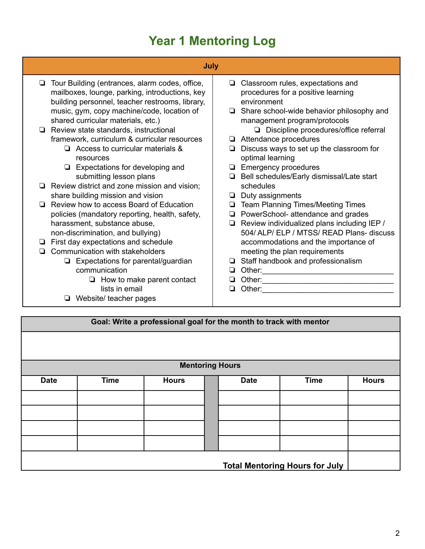# **Year 1 Mentoring Log**

| July                                                                                                                                                                                                                                                                                                                                                                                                                                                                                                                                                                                                                                                                                                                                                                                                                                                                                                                |                                                                                                                                                                                                                                                                                                                                                                                                                                                                                                                                                                                                                                                                                                                                                                                           |
|---------------------------------------------------------------------------------------------------------------------------------------------------------------------------------------------------------------------------------------------------------------------------------------------------------------------------------------------------------------------------------------------------------------------------------------------------------------------------------------------------------------------------------------------------------------------------------------------------------------------------------------------------------------------------------------------------------------------------------------------------------------------------------------------------------------------------------------------------------------------------------------------------------------------|-------------------------------------------------------------------------------------------------------------------------------------------------------------------------------------------------------------------------------------------------------------------------------------------------------------------------------------------------------------------------------------------------------------------------------------------------------------------------------------------------------------------------------------------------------------------------------------------------------------------------------------------------------------------------------------------------------------------------------------------------------------------------------------------|
| Tour Building (entrances, alarm codes, office,<br>❏<br>mailboxes, lounge, parking, introductions, key<br>building personnel, teacher restrooms, library,<br>music, gym, copy machine/code, location of<br>shared curricular materials, etc.)<br>$\Box$ Review state standards, instructional<br>framework, curriculum & curricular resources<br>$\Box$ Access to curricular materials &<br>resources<br>$\Box$ Expectations for developing and<br>submitting lesson plans<br>Review district and zone mission and vision;<br>share building mission and vision<br>Review how to access Board of Education<br>n.<br>policies (mandatory reporting, health, safety,<br>harassment, substance abuse,<br>non-discrimination, and bullying)<br>First day expectations and schedule<br>Communication with stakeholders<br>$\Box$ Expectations for parental/guardian<br>communication<br>$\Box$ How to make parent contact | Classroom rules, expectations and<br>❏<br>procedures for a positive learning<br>environment<br>Share school-wide behavior philosophy and<br>❏<br>management program/protocols<br>$\Box$ Discipline procedures/office referral<br>Attendance procedures<br>∟<br>Discuss ways to set up the classroom for<br>optimal learning<br><b>Emergency procedures</b><br>Bell schedules/Early dismissal/Late start<br>Q.<br>schedules<br>Duty assignments<br>❏<br><b>Team Planning Times/Meeting Times</b><br>❏<br>PowerSchool- attendance and grades<br>Q.<br>Review individualized plans including IEP /<br>❏<br>504/ ALP/ ELP / MTSS/ READ Plans- discuss<br>accommodations and the importance of<br>meeting the plan requirements<br>Staff handbook and professionalism<br>Other:<br>◻<br>Other: |
| lists in email                                                                                                                                                                                                                                                                                                                                                                                                                                                                                                                                                                                                                                                                                                                                                                                                                                                                                                      | Other:                                                                                                                                                                                                                                                                                                                                                                                                                                                                                                                                                                                                                                                                                                                                                                                    |
| Website/ teacher pages                                                                                                                                                                                                                                                                                                                                                                                                                                                                                                                                                                                                                                                                                                                                                                                                                                                                                              |                                                                                                                                                                                                                                                                                                                                                                                                                                                                                                                                                                                                                                                                                                                                                                                           |

|             | Goal: Write a professional goal for the month to track with mentor |                        |  |             |             |              |  |
|-------------|--------------------------------------------------------------------|------------------------|--|-------------|-------------|--------------|--|
|             |                                                                    |                        |  |             |             |              |  |
|             |                                                                    | <b>Mentoring Hours</b> |  |             |             |              |  |
| <b>Date</b> | <b>Time</b>                                                        | <b>Hours</b>           |  | <b>Date</b> | <b>Time</b> | <b>Hours</b> |  |
|             |                                                                    |                        |  |             |             |              |  |
|             |                                                                    |                        |  |             |             |              |  |
|             |                                                                    |                        |  |             |             |              |  |
|             |                                                                    |                        |  |             |             |              |  |
|             | <b>Total Mentoring Hours for July</b>                              |                        |  |             |             |              |  |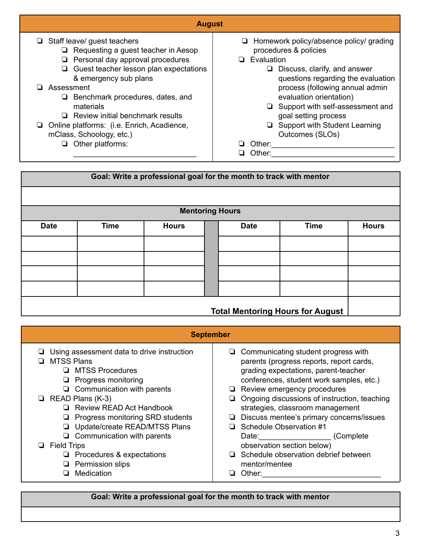| <b>August</b>                                                                                                                                                                                                                                                                                                                                                                                                            |                                                                                                                                                                                                                                                                                                                                                                            |  |  |  |  |  |
|--------------------------------------------------------------------------------------------------------------------------------------------------------------------------------------------------------------------------------------------------------------------------------------------------------------------------------------------------------------------------------------------------------------------------|----------------------------------------------------------------------------------------------------------------------------------------------------------------------------------------------------------------------------------------------------------------------------------------------------------------------------------------------------------------------------|--|--|--|--|--|
| $\Box$ Staff leave/ guest teachers<br>$\Box$ Requesting a guest teacher in Aesop<br>$\Box$ Personal day approval procedures<br>$\Box$ Guest teacher lesson plan expectations<br>& emergency sub plans<br>□ Assessment<br>$\Box$ Benchmark procedures, dates, and<br>materials<br>$\Box$ Review initial benchmark results<br>□ Online platforms: (i.e. Enrich, Acadience,<br>mClass, Schoology, etc.)<br>Other platforms: | $\Box$ Homework policy/absence policy/ grading<br>procedures & policies<br>Evaluation<br>Discuss, clarify, and answer<br>questions regarding the evaluation<br>process (following annual admin<br>evaluation orientation)<br>$\Box$ Support with self-assessment and<br>goal setting process<br>Support with Student Learning<br>u.<br>Outcomes (SLOs)<br>Other:<br>Other: |  |  |  |  |  |

|                                         | Goal: Write a professional goal for the month to track with mentor |                        |  |             |             |              |
|-----------------------------------------|--------------------------------------------------------------------|------------------------|--|-------------|-------------|--------------|
|                                         |                                                                    |                        |  |             |             |              |
|                                         |                                                                    | <b>Mentoring Hours</b> |  |             |             |              |
| <b>Date</b>                             | <b>Time</b>                                                        | <b>Hours</b>           |  | <b>Date</b> | <b>Time</b> | <b>Hours</b> |
|                                         |                                                                    |                        |  |             |             |              |
|                                         |                                                                    |                        |  |             |             |              |
|                                         |                                                                    |                        |  |             |             |              |
|                                         |                                                                    |                        |  |             |             |              |
| <b>Total Mentoring Hours for August</b> |                                                                    |                        |  |             |             |              |

| <b>September</b>                                                                                                                                                                                                                                                                                                                                                                                                                                                                |  |  |  |  |  |  |
|---------------------------------------------------------------------------------------------------------------------------------------------------------------------------------------------------------------------------------------------------------------------------------------------------------------------------------------------------------------------------------------------------------------------------------------------------------------------------------|--|--|--|--|--|--|
| Communicating student progress with<br>parents (progress reports, report cards,<br>grading expectations, parent-teacher<br>conferences, student work samples, etc.)<br>Review emergency procedures<br>Ongoing discussions of instruction, teaching<br>⊔<br>strategies, classroom management<br>Discuss mentee's primary concerns/issues<br>⊔<br>Schedule Observation #1<br>ப<br>(Complete)<br>Date: Date:<br>observation section below)<br>Schedule observation debrief between |  |  |  |  |  |  |
| mentor/mentee<br>Other:                                                                                                                                                                                                                                                                                                                                                                                                                                                         |  |  |  |  |  |  |
|                                                                                                                                                                                                                                                                                                                                                                                                                                                                                 |  |  |  |  |  |  |

#### **Goal: Write a professional goal for the month to track with mentor**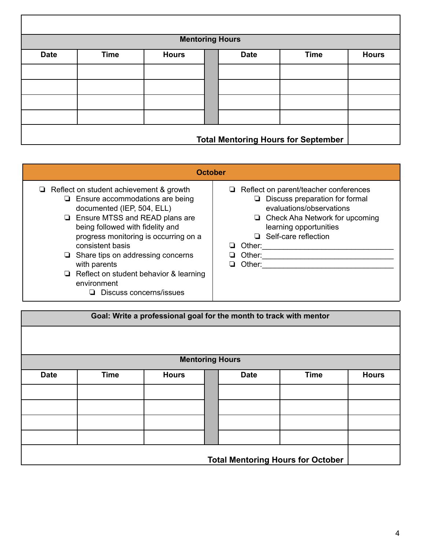|             |                                            | <b>Mentoring Hours</b> |  |             |             |              |
|-------------|--------------------------------------------|------------------------|--|-------------|-------------|--------------|
| <b>Date</b> | <b>Time</b>                                | <b>Hours</b>           |  | <b>Date</b> | <b>Time</b> | <b>Hours</b> |
|             |                                            |                        |  |             |             |              |
|             |                                            |                        |  |             |             |              |
|             |                                            |                        |  |             |             |              |
|             |                                            |                        |  |             |             |              |
|             |                                            |                        |  |             |             |              |
|             | <b>Total Mentoring Hours for September</b> |                        |  |             |             |              |

| <b>October</b>                                                                                                                                                                                                                                                                                                                                                                                                                  |                                                                                                                                                                                                                                                        |
|---------------------------------------------------------------------------------------------------------------------------------------------------------------------------------------------------------------------------------------------------------------------------------------------------------------------------------------------------------------------------------------------------------------------------------|--------------------------------------------------------------------------------------------------------------------------------------------------------------------------------------------------------------------------------------------------------|
| $\Box$ Reflect on student achievement & growth<br>Ensure accommodations are being<br>u.<br>documented (IEP, 504, ELL)<br><b>Example 3 Figure MTSS and READ plans are</b><br>being followed with fidelity and<br>progress monitoring is occurring on a<br>consistent basis<br>Share tips on addressing concerns<br>with parents<br>Reflect on student behavior & learning<br>u.<br>environment<br>$\Box$ Discuss concerns/issues | $\Box$ Reflect on parent/teacher conferences<br>$\Box$ Discuss preparation for formal<br>evaluations/observations<br>$\Box$ Check Aha Network for upcoming<br>learning opportunities<br>$\Box$ Self-care reflection<br>Other:<br>Other:<br>Other:<br>❏ |

|             | Goal: Write a professional goal for the month to track with mentor |                        |  |             |             |              |
|-------------|--------------------------------------------------------------------|------------------------|--|-------------|-------------|--------------|
|             |                                                                    |                        |  |             |             |              |
|             |                                                                    | <b>Mentoring Hours</b> |  |             |             |              |
|             |                                                                    |                        |  |             |             |              |
| <b>Date</b> | <b>Time</b>                                                        | <b>Hours</b>           |  | <b>Date</b> | <b>Time</b> | <b>Hours</b> |
|             |                                                                    |                        |  |             |             |              |
|             |                                                                    |                        |  |             |             |              |
|             |                                                                    |                        |  |             |             |              |
|             |                                                                    |                        |  |             |             |              |
|             |                                                                    |                        |  |             |             |              |
|             | <b>Total Mentoring Hours for October</b>                           |                        |  |             |             |              |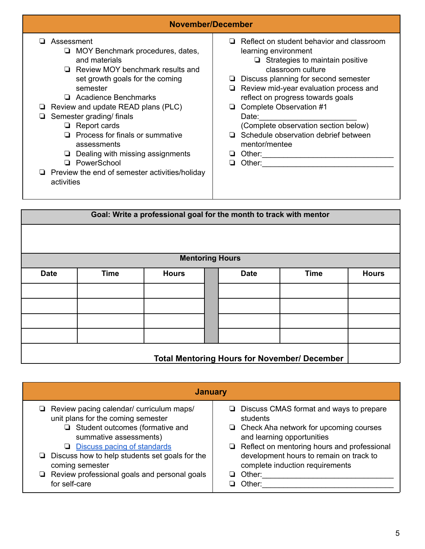| November/December                                                                                                                                                                                                                                                                                                                                                                                                                                                   |                                                                                                                                                                                                                                                                                                                                                                                                                                                                                                                                                                                                                                                                 |  |  |  |  |
|---------------------------------------------------------------------------------------------------------------------------------------------------------------------------------------------------------------------------------------------------------------------------------------------------------------------------------------------------------------------------------------------------------------------------------------------------------------------|-----------------------------------------------------------------------------------------------------------------------------------------------------------------------------------------------------------------------------------------------------------------------------------------------------------------------------------------------------------------------------------------------------------------------------------------------------------------------------------------------------------------------------------------------------------------------------------------------------------------------------------------------------------------|--|--|--|--|
| Assessment<br>MOY Benchmark procedures, dates,<br>▫<br>and materials<br>Review MOY benchmark results and<br>ப<br>set growth goals for the coming<br>semester<br>Acadience Benchmarks<br>□<br>Review and update READ plans (PLC)<br>Semester grading/finals<br>Report cards<br>❏<br>Process for finals or summative<br>П<br>assessments<br>Dealing with missing assignments<br>⊔<br>PowerSchool<br>□<br>Preview the end of semester activities/holiday<br>activities | Reflect on student behavior and classroom<br>Ш.<br>learning environment<br>$\Box$ Strategies to maintain positive<br>classroom culture<br>Discuss planning for second semester<br>Review mid-year evaluation process and<br>reflect on progress towards goals<br>Complete Observation #1<br>⊔<br>Date:<br>(Complete observation section below)<br>$\Box$ Schedule observation debrief between<br>mentor/mentee<br>Other:<br>Other: and the contract of the contract of the contract of the contract of the contract of the contract of the contract of the contract of the contract of the contract of the contract of the contract of the contract of the<br>u |  |  |  |  |

|             | Goal: Write a professional goal for the month to track with mentor |              |  |             |             |              |
|-------------|--------------------------------------------------------------------|--------------|--|-------------|-------------|--------------|
|             |                                                                    |              |  |             |             |              |
|             |                                                                    |              |  |             |             |              |
|             | <b>Mentoring Hours</b>                                             |              |  |             |             |              |
| <b>Date</b> | <b>Time</b>                                                        | <b>Hours</b> |  | <b>Date</b> | <b>Time</b> | <b>Hours</b> |
|             |                                                                    |              |  |             |             |              |
|             |                                                                    |              |  |             |             |              |
|             |                                                                    |              |  |             |             |              |
|             |                                                                    |              |  |             |             |              |
|             | <b>Total Mentoring Hours for November/ December</b>                |              |  |             |             |              |

| <b>January</b>                                                                                                                                                                                                                                                                                                                                    |                                                                                                                                                                                                                                                                                                   |  |  |  |  |  |  |
|---------------------------------------------------------------------------------------------------------------------------------------------------------------------------------------------------------------------------------------------------------------------------------------------------------------------------------------------------|---------------------------------------------------------------------------------------------------------------------------------------------------------------------------------------------------------------------------------------------------------------------------------------------------|--|--|--|--|--|--|
| $\Box$ Review pacing calendar/ curriculum maps/<br>unit plans for the coming semester<br>$\Box$ Student outcomes (formative and<br>summative assessments)<br>Discuss pacing of standards<br>❏<br>$\Box$ Discuss how to help students set goals for the<br>coming semester<br>$\Box$ Review professional goals and personal goals<br>for self-care | $\Box$ Discuss CMAS format and ways to prepare<br>students<br>$\Box$ Check Aha network for upcoming courses<br>and learning opportunities<br>$\Box$ Reflect on mentoring hours and professional<br>development hours to remain on track to<br>complete induction requirements<br>Other:<br>Other: |  |  |  |  |  |  |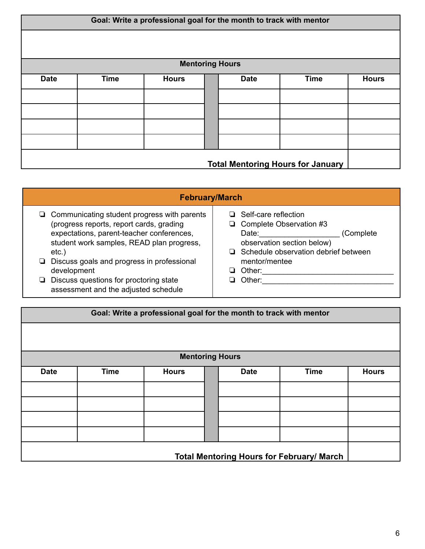| Goal: Write a professional goal for the month to track with mentor |             |                        |  |             |             |              |  |
|--------------------------------------------------------------------|-------------|------------------------|--|-------------|-------------|--------------|--|
|                                                                    |             |                        |  |             |             |              |  |
|                                                                    |             | <b>Mentoring Hours</b> |  |             |             |              |  |
| <b>Date</b>                                                        | <b>Time</b> | <b>Hours</b>           |  | <b>Date</b> | <b>Time</b> | <b>Hours</b> |  |
|                                                                    |             |                        |  |             |             |              |  |
|                                                                    |             |                        |  |             |             |              |  |
|                                                                    |             |                        |  |             |             |              |  |
|                                                                    |             |                        |  |             |             |              |  |
| <b>Total Mentoring Hours for January</b>                           |             |                        |  |             |             |              |  |

#### **February/March**

- ❏ Communicating student progress with parents (progress reports, report cards, grading expectations, parent-teacher conferences, student work samples, READ plan progress, etc.)
- ❏ Discuss goals and progress in professional development
- ❏ Discuss questions for proctoring state assessment and the adjusted schedule

|   | $\Box$ Self-care reflection                 |            |
|---|---------------------------------------------|------------|
|   | $\Box$ Complete Observation #3              |            |
|   | Date:                                       | (Complete) |
|   | observation section below)                  |            |
|   | $\Box$ Schedule observation debrief between |            |
|   | mentor/mentee                               |            |
|   | $\Box$ Other:                               |            |
| □ | Other:                                      |            |
|   |                                             |            |

|             | Goal: Write a professional goal for the month to track with mentor |                        |  |             |                                                  |              |
|-------------|--------------------------------------------------------------------|------------------------|--|-------------|--------------------------------------------------|--------------|
|             |                                                                    |                        |  |             |                                                  |              |
|             |                                                                    | <b>Mentoring Hours</b> |  |             |                                                  |              |
| <b>Date</b> | <b>Time</b>                                                        | <b>Hours</b>           |  | <b>Date</b> | <b>Time</b>                                      | <b>Hours</b> |
|             |                                                                    |                        |  |             |                                                  |              |
|             |                                                                    |                        |  |             |                                                  |              |
|             |                                                                    |                        |  |             |                                                  |              |
|             |                                                                    |                        |  |             |                                                  |              |
|             |                                                                    |                        |  |             | <b>Total Mentoring Hours for February/ March</b> |              |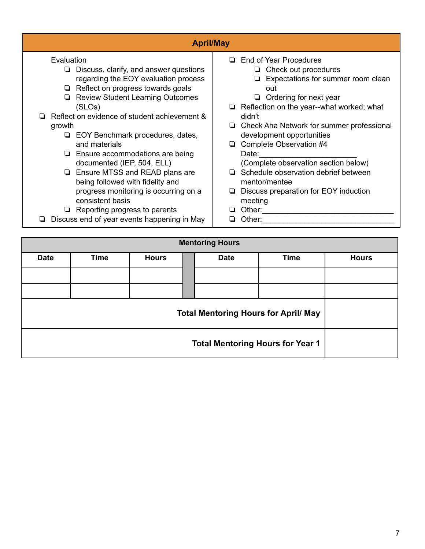| <b>April/May</b>                                                                                                                                                                                                                                                                                                                                                                                                                                                                                                                                                                                                                  |                                                                                                                                                                                                                                                                                                                                                                                                                                                                                                               |
|-----------------------------------------------------------------------------------------------------------------------------------------------------------------------------------------------------------------------------------------------------------------------------------------------------------------------------------------------------------------------------------------------------------------------------------------------------------------------------------------------------------------------------------------------------------------------------------------------------------------------------------|---------------------------------------------------------------------------------------------------------------------------------------------------------------------------------------------------------------------------------------------------------------------------------------------------------------------------------------------------------------------------------------------------------------------------------------------------------------------------------------------------------------|
| Evaluation<br>Discuss, clarify, and answer questions<br>regarding the EOY evaluation process<br>Reflect on progress towards goals<br>❏<br><b>Review Student Learning Outcomes</b><br>❏.<br>(SLOS)<br>Reflect on evidence of student achievement &<br>growth<br>EOY Benchmark procedures, dates,<br>❏<br>and materials<br>Ensure accommodations are being<br>documented (IEP, 504, ELL)<br><b>Example 3 Ensure MTSS and READ plans are</b><br>being followed with fidelity and<br>progress monitoring is occurring on a<br>consistent basis<br>$\Box$ Reporting progress to parents<br>Discuss end of year events happening in May | $\Box$ End of Year Procedures<br>Check out procedures<br>Expectations for summer room clean<br>out<br>$\Box$ Ordering for next year<br>$\Box$ Reflection on the year--what worked; what<br>didn't<br>$\Box$ Check Aha Network for summer professional<br>development opportunities<br>$\Box$ Complete Observation #4<br>Date:<br>(Complete observation section below)<br>Schedule observation debrief between<br>mentor/mentee<br>$\Box$ Discuss preparation for EOY induction<br>meeting<br>Other:<br>Other: |

| <b>Mentoring Hours</b> |             |              |             |             |              |  |
|------------------------|-------------|--------------|-------------|-------------|--------------|--|
| <b>Date</b>            | <b>Time</b> | <b>Hours</b> | <b>Date</b> | <b>Time</b> | <b>Hours</b> |  |
|                        |             |              |             |             |              |  |
|                        |             |              |             |             |              |  |
|                        |             |              |             |             |              |  |
|                        |             |              |             |             |              |  |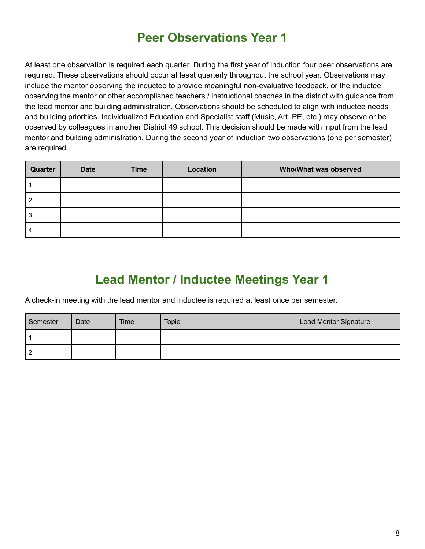#### **Peer Observations Year 1**

At least one observation is required each quarter. During the first year of induction four peer observations are required. These observations should occur at least quarterly throughout the school year. Observations may include the mentor observing the inductee to provide meaningful non-evaluative feedback, or the inductee observing the mentor or other accomplished teachers / instructional coaches in the district with guidance from the lead mentor and building administration. Observations should be scheduled to align with inductee needs and building priorities. Individualized Education and Specialist staff (Music, Art, PE, etc.) may observe or be observed by colleagues in another District 49 school. This decision should be made with input from the lead mentor and building administration. During the second year of induction two observations (one per semester) are required.

| Quarter | <b>Date</b> | <b>Time</b> | Location | Who/What was observed |
|---------|-------------|-------------|----------|-----------------------|
|         |             |             |          |                       |
|         |             |             |          |                       |
| 3       |             |             |          |                       |
|         |             |             |          |                       |

## **Lead Mentor / Inductee Meetings Year 1**

A check-in meeting with the lead mentor and inductee is required at least once per semester.

| Semester | Date | <b>Time</b> | <b>Topic</b> | Lead Mentor Signature |
|----------|------|-------------|--------------|-----------------------|
|          |      |             |              |                       |
|          |      |             |              |                       |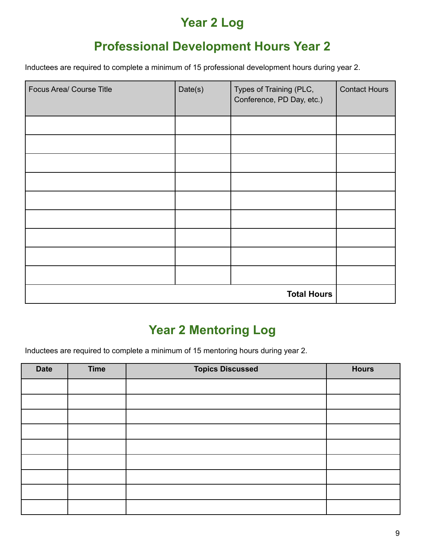#### **Year 2 Log**

#### **Professional Development Hours Year 2**

Inductees are required to complete a minimum of 15 professional development hours during year 2.

| Focus Area/ Course Title | Date(s) | Types of Training (PLC,<br>Conference, PD Day, etc.) | <b>Contact Hours</b> |
|--------------------------|---------|------------------------------------------------------|----------------------|
|                          |         |                                                      |                      |
|                          |         |                                                      |                      |
|                          |         |                                                      |                      |
|                          |         |                                                      |                      |
|                          |         |                                                      |                      |
|                          |         |                                                      |                      |
|                          |         |                                                      |                      |
|                          |         |                                                      |                      |
|                          |         |                                                      |                      |
|                          |         | <b>Total Hours</b>                                   |                      |

## **Year 2 Mentoring Log**

Inductees are required to complete a minimum of 15 mentoring hours during year 2.

| <b>Date</b> | <b>Time</b> | <b>Topics Discussed</b> | <b>Hours</b> |
|-------------|-------------|-------------------------|--------------|
|             |             |                         |              |
|             |             |                         |              |
|             |             |                         |              |
|             |             |                         |              |
|             |             |                         |              |
|             |             |                         |              |
|             |             |                         |              |
|             |             |                         |              |
|             |             |                         |              |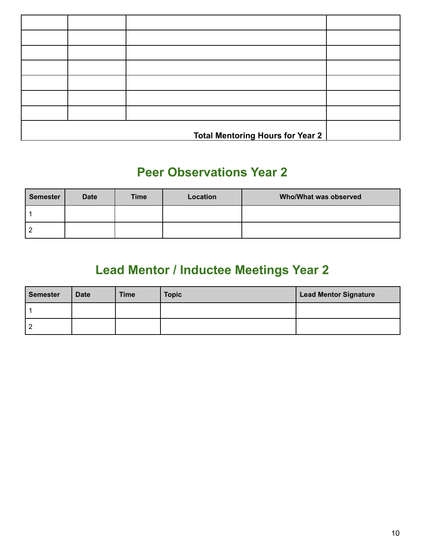|  | <b>Total Mentoring Hours for Year 2</b> |  |
|--|-----------------------------------------|--|

#### **Peer Observations Year 2**

| <b>Semester</b> | <b>Date</b> | <b>Time</b> | Location | Who/What was observed |
|-----------------|-------------|-------------|----------|-----------------------|
|                 |             |             |          |                       |
| -               |             |             |          |                       |

# **Lead Mentor / Inductee Meetings Year 2**

| <b>Semester</b> | <b>Date</b> | <b>Time</b> | <b>Topic</b> | <b>Lead Mentor Signature</b> |
|-----------------|-------------|-------------|--------------|------------------------------|
|                 |             |             |              |                              |
|                 |             |             |              |                              |